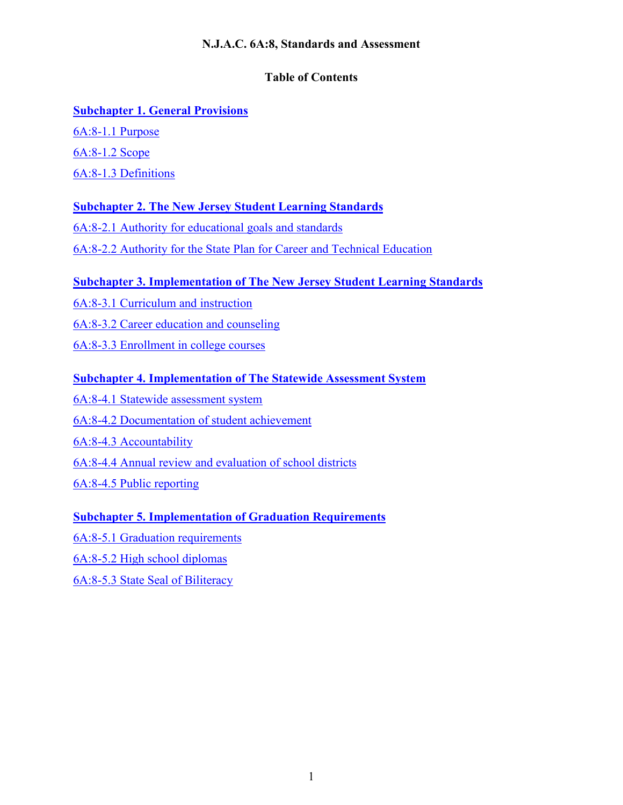# **N.J.A.C. 6A:8, Standards and Assessment**

# **Table of Contents**

# **[Subchapter 1. General Provisions](#page-1-0)**

[6A:8-1.1](#page-1-1) Purpose [6A:8-1.2](#page-2-0) Scope 6A:8-1.3 [Definitions](#page-3-0)

# **[Subchapter 2. The New Jersey Student Learning Standards](#page-11-0)**

6A:8-2.1 [Authority for educational goals and standards](#page-11-1)

6A:8-2.2 [Authority for the State Plan for Career and Technical Education](#page-13-0)

# **Subchapter 3. [Implementation of The New Jersey Student Learning Standards](#page-13-1)**

6A:8-3.1 [Curriculum and instruction](#page-13-2)

[6A:8-3.2 Career education and counseling](#page-16-0)

6A:8-3.3 [Enrollment in college courses](#page-19-0)

## **[Subchapter 4. Implementation of The Statewide Assessment System](#page-19-1)**

6A:8-4.1 [Statewide assessment system](#page-19-2) 6A:8-4.2 [Documentation of student achievement](#page-22-0) 6A:8-4.3 [Accountability](#page-23-0) 6A:8-4.4 [Annual review and evaluation of school districts](#page-24-0) 6A:8-4.5 [Public reporting](#page-24-1)

# **[Subchapter 5. Implementation of Graduation Requirements](#page-25-0)**

6A:8-5.1 [Graduation requirements](#page-25-1)

6A:8-5.2 [High school diplomas](#page-31-0)

[6A:8-5.3 State Seal of Biliteracy](#page-33-0)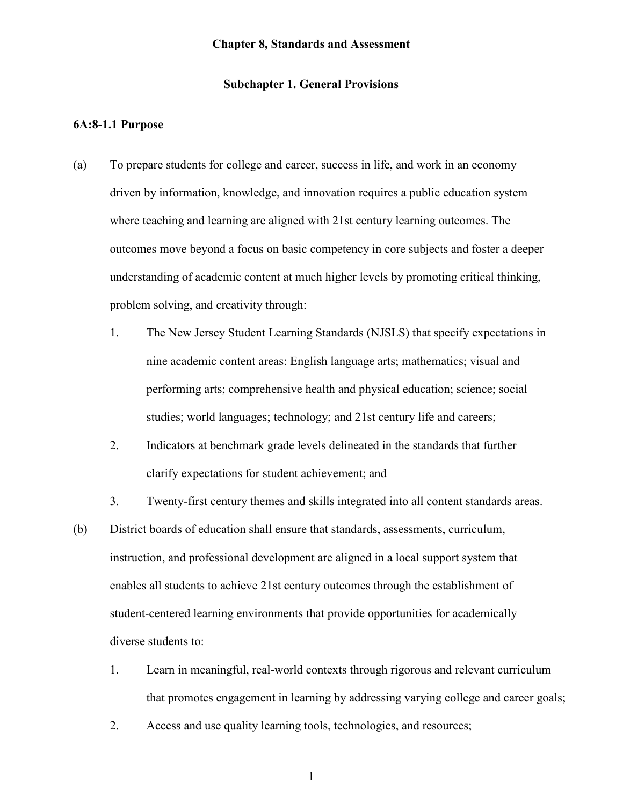#### **Chapter 8, Standards and Assessment**

### **Subchapter 1. General Provisions**

#### <span id="page-1-1"></span><span id="page-1-0"></span>**6A:8-1.1 Purpose**

- (a) To prepare students for college and career, success in life, and work in an economy driven by information, knowledge, and innovation requires a public education system where teaching and learning are aligned with 21st century learning outcomes. The outcomes move beyond a focus on basic competency in core subjects and foster a deeper understanding of academic content at much higher levels by promoting critical thinking, problem solving, and creativity through:
	- 1. The New Jersey Student Learning Standards (NJSLS) that specify expectations in nine academic content areas: English language arts; mathematics; visual and performing arts; comprehensive health and physical education; science; social studies; world languages; technology; and 21st century life and careers;
	- 2. Indicators at benchmark grade levels delineated in the standards that further clarify expectations for student achievement; and
	- 3. Twenty-first century themes and skills integrated into all content standards areas.
- (b) District boards of education shall ensure that standards, assessments, curriculum, instruction, and professional development are aligned in a local support system that enables all students to achieve 21st century outcomes through the establishment of student-centered learning environments that provide opportunities for academically diverse students to:
	- 1. Learn in meaningful, real-world contexts through rigorous and relevant curriculum that promotes engagement in learning by addressing varying college and career goals;
	- 2. Access and use quality learning tools, technologies, and resources;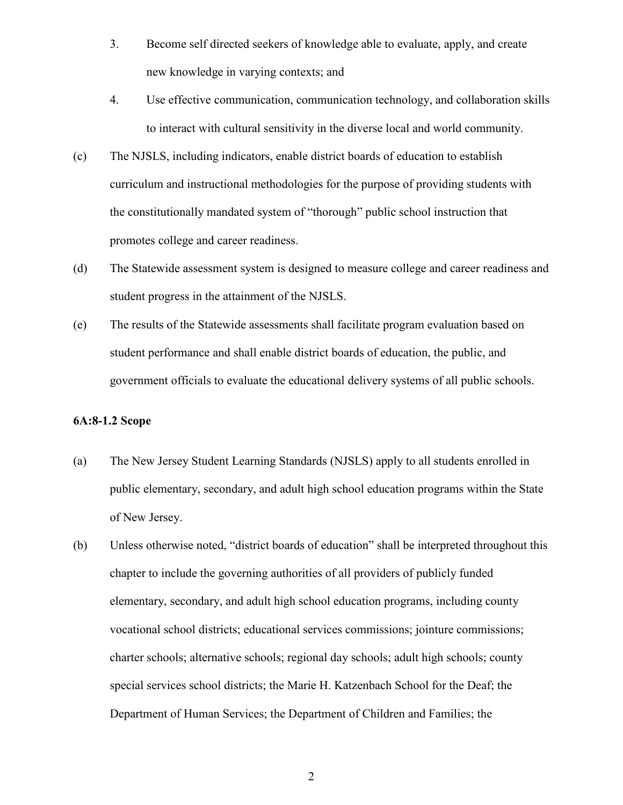- 3. Become self directed seekers of knowledge able to evaluate, apply, and create new knowledge in varying contexts; and
- 4. Use effective communication, communication technology, and collaboration skills to interact with cultural sensitivity in the diverse local and world community.
- (c) The NJSLS, including indicators, enable district boards of education to establish curriculum and instructional methodologies for the purpose of providing students with the constitutionally mandated system of "thorough" public school instruction that promotes college and career readiness.
- (d) The Statewide assessment system is designed to measure college and career readiness and student progress in the attainment of the NJSLS.
- (e) The results of the Statewide assessments shall facilitate program evaluation based on student performance and shall enable district boards of education, the public, and government officials to evaluate the educational delivery systems of all public schools.

## <span id="page-2-0"></span>**6A:8-1.2 Scope**

- (a) The New Jersey Student Learning Standards (NJSLS) apply to all students enrolled in public elementary, secondary, and adult high school education programs within the State of New Jersey.
- (b) Unless otherwise noted, "district boards of education" shall be interpreted throughout this chapter to include the governing authorities of all providers of publicly funded elementary, secondary, and adult high school education programs, including county vocational school districts; educational services commissions; jointure commissions; charter schools; alternative schools; regional day schools; adult high schools; county special services school districts; the Marie H. Katzenbach School for the Deaf; the Department of Human Services; the Department of Children and Families; the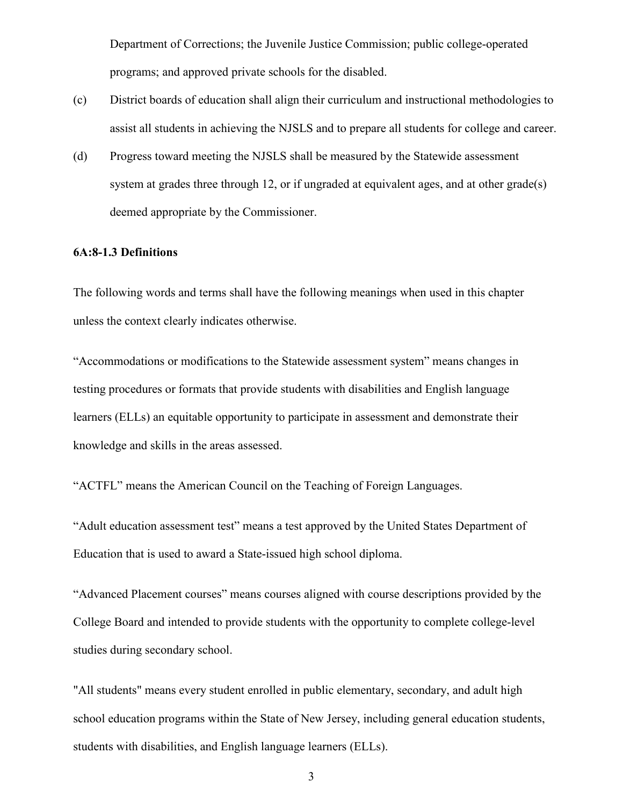Department of Corrections; the Juvenile Justice Commission; public college-operated programs; and approved private schools for the disabled.

- (c) District boards of education shall align their curriculum and instructional methodologies to assist all students in achieving the NJSLS and to prepare all students for college and career.
- (d) Progress toward meeting the NJSLS shall be measured by the Statewide assessment system at grades three through 12, or if ungraded at equivalent ages, and at other grade(s) deemed appropriate by the Commissioner.

### <span id="page-3-0"></span>**6A:8-1.3 Definitions**

The following words and terms shall have the following meanings when used in this chapter unless the context clearly indicates otherwise.

"Accommodations or modifications to the Statewide assessment system" means changes in testing procedures or formats that provide students with disabilities and English language learners (ELLs) an equitable opportunity to participate in assessment and demonstrate their knowledge and skills in the areas assessed.

"ACTFL" means the American Council on the Teaching of Foreign Languages.

"Adult education assessment test" means a test approved by the United States Department of Education that is used to award a State-issued high school diploma.

"Advanced Placement courses" means courses aligned with course descriptions provided by the College Board and intended to provide students with the opportunity to complete college-level studies during secondary school.

"All students" means every student enrolled in public elementary, secondary, and adult high school education programs within the State of New Jersey, including general education students, students with disabilities, and English language learners (ELLs).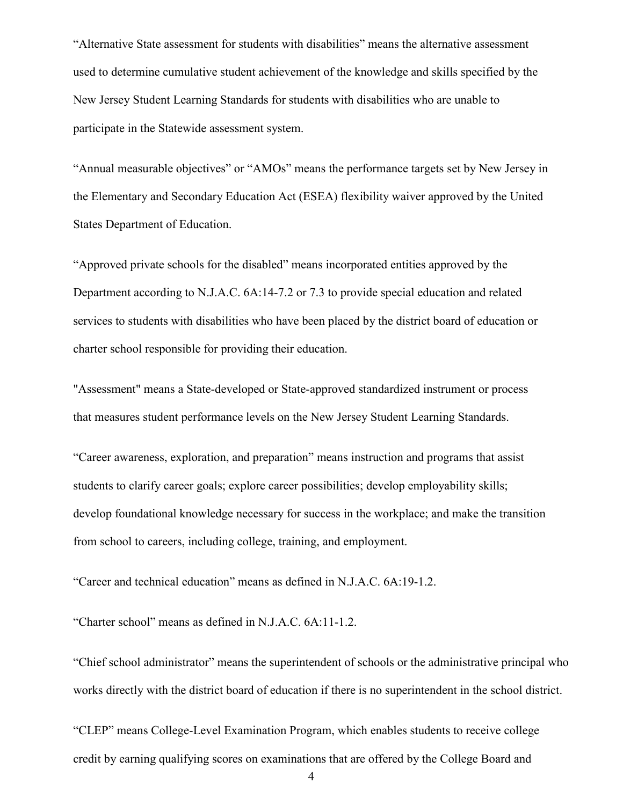"Alternative State assessment for students with disabilities" means the alternative assessment used to determine cumulative student achievement of the knowledge and skills specified by the New Jersey Student Learning Standards for students with disabilities who are unable to participate in the Statewide assessment system.

"Annual measurable objectives" or "AMOs" means the performance targets set by New Jersey in the Elementary and Secondary Education Act (ESEA) flexibility waiver approved by the United States Department of Education.

"Approved private schools for the disabled" means incorporated entities approved by the Department according to N.J.A.C. 6A:14-7.2 or 7.3 to provide special education and related services to students with disabilities who have been placed by the district board of education or charter school responsible for providing their education.

"Assessment" means a State-developed or State-approved standardized instrument or process that measures student performance levels on the New Jersey Student Learning Standards.

"Career awareness, exploration, and preparation" means instruction and programs that assist students to clarify career goals; explore career possibilities; develop employability skills; develop foundational knowledge necessary for success in the workplace; and make the transition from school to careers, including college, training, and employment.

"Career and technical education" means as defined in N.J.A.C. 6A:19-1.2.

"Charter school" means as defined in N.J.A.C. 6A:11-1.2.

"Chief school administrator" means the superintendent of schools or the administrative principal who works directly with the district board of education if there is no superintendent in the school district.

"CLEP" means College-Level Examination Program, which enables students to receive college credit by earning qualifying scores on examinations that are offered by the College Board and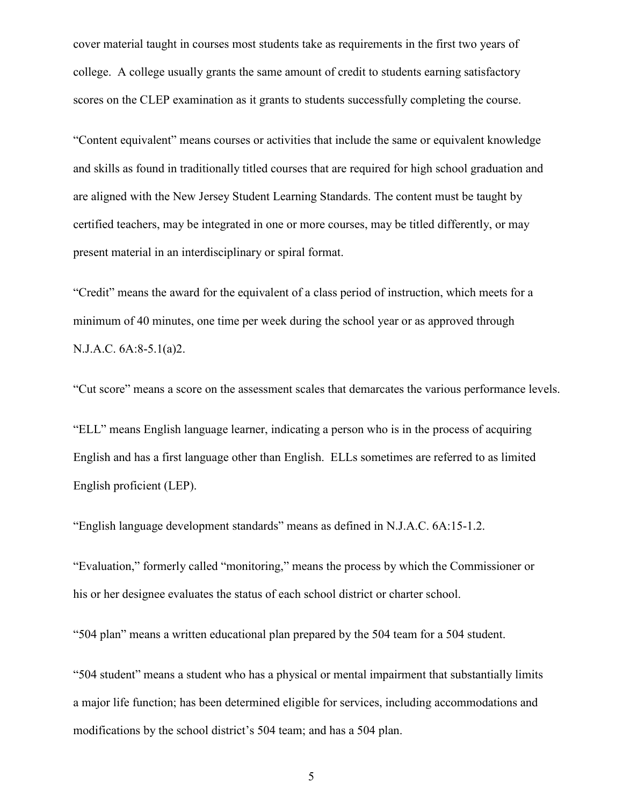cover material taught in courses most students take as requirements in the first two years of college. A college usually grants the same amount of credit to students earning satisfactory scores on the CLEP examination as it grants to students successfully completing the course.

"Content equivalent" means courses or activities that include the same or equivalent knowledge and skills as found in traditionally titled courses that are required for high school graduation and are aligned with the New Jersey Student Learning Standards. The content must be taught by certified teachers, may be integrated in one or more courses, may be titled differently, or may present material in an interdisciplinary or spiral format.

"Credit" means the award for the equivalent of a class period of instruction, which meets for a minimum of 40 minutes, one time per week during the school year or as approved through N.J.A.C. 6A:8-5.1(a)2.

"Cut score" means a score on the assessment scales that demarcates the various performance levels.

"ELL" means English language learner, indicating a person who is in the process of acquiring English and has a first language other than English. ELLs sometimes are referred to as limited English proficient (LEP).

"English language development standards" means as defined in N.J.A.C. 6A:15-1.2.

"Evaluation," formerly called "monitoring," means the process by which the Commissioner or his or her designee evaluates the status of each school district or charter school.

"504 plan" means a written educational plan prepared by the 504 team for a 504 student.

"504 student" means a student who has a physical or mental impairment that substantially limits a major life function; has been determined eligible for services, including accommodations and modifications by the school district's 504 team; and has a 504 plan.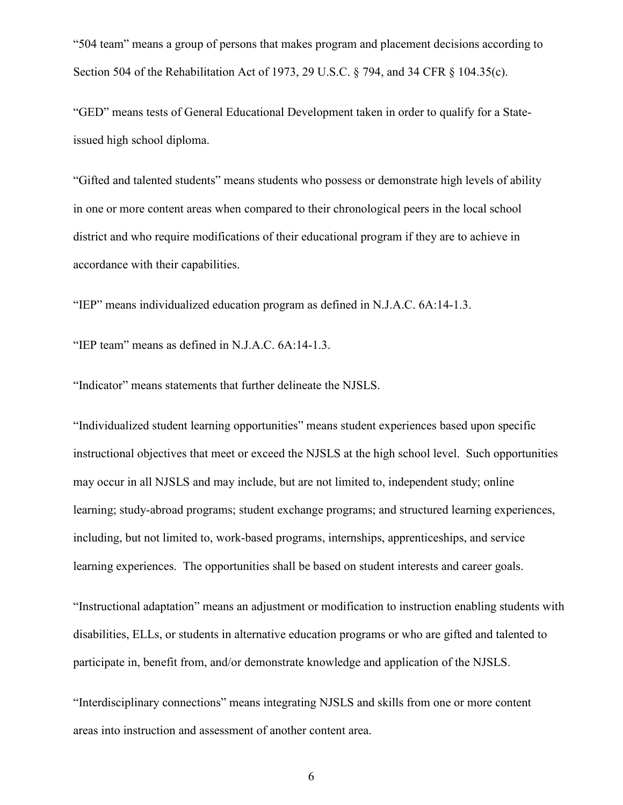"504 team" means a group of persons that makes program and placement decisions according to Section 504 of the Rehabilitation Act of 1973, 29 U.S.C. § 794, and 34 CFR § 104.35(c).

"GED" means tests of General Educational Development taken in order to qualify for a Stateissued high school diploma.

"Gifted and talented students" means students who possess or demonstrate high levels of ability in one or more content areas when compared to their chronological peers in the local school district and who require modifications of their educational program if they are to achieve in accordance with their capabilities.

"IEP" means individualized education program as defined in N.J.A.C. 6A:14-1.3.

"IEP team" means as defined in N.J.A.C. 6A:14-1.3.

"Indicator" means statements that further delineate the NJSLS.

"Individualized student learning opportunities" means student experiences based upon specific instructional objectives that meet or exceed the NJSLS at the high school level. Such opportunities may occur in all NJSLS and may include, but are not limited to, independent study; online learning; study-abroad programs; student exchange programs; and structured learning experiences, including, but not limited to, work-based programs, internships, apprenticeships, and service learning experiences. The opportunities shall be based on student interests and career goals.

"Instructional adaptation" means an adjustment or modification to instruction enabling students with disabilities, ELLs, or students in alternative education programs or who are gifted and talented to participate in, benefit from, and/or demonstrate knowledge and application of the NJSLS.

"Interdisciplinary connections" means integrating NJSLS and skills from one or more content areas into instruction and assessment of another content area.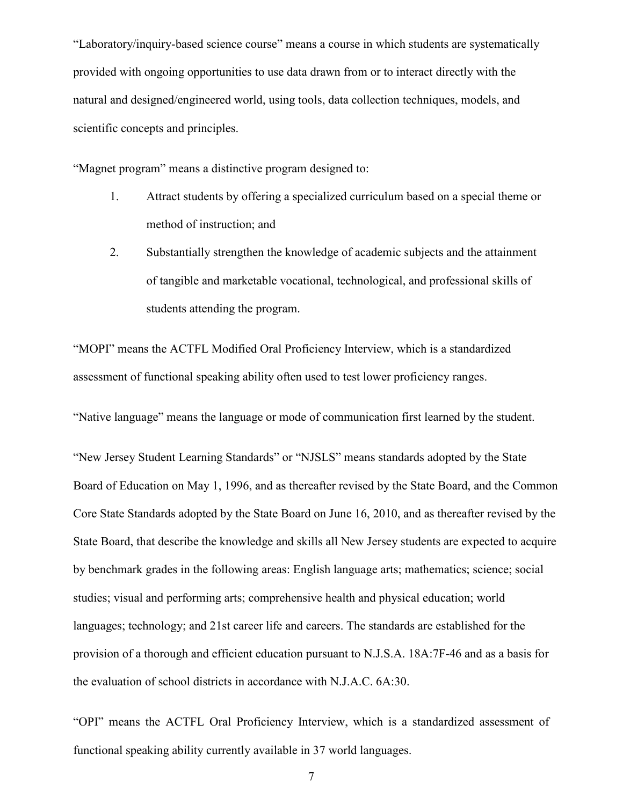"Laboratory/inquiry-based science course" means a course in which students are systematically provided with ongoing opportunities to use data drawn from or to interact directly with the natural and designed/engineered world, using tools, data collection techniques, models, and scientific concepts and principles.

"Magnet program" means a distinctive program designed to:

- 1. Attract students by offering a specialized curriculum based on a special theme or method of instruction; and
- 2. Substantially strengthen the knowledge of academic subjects and the attainment of tangible and marketable vocational, technological, and professional skills of students attending the program.

"MOPI" means the ACTFL Modified Oral Proficiency Interview, which is a standardized assessment of functional speaking ability often used to test lower proficiency ranges.

"Native language" means the language or mode of communication first learned by the student.

"New Jersey Student Learning Standards" or "NJSLS" means standards adopted by the State Board of Education on May 1, 1996, and as thereafter revised by the State Board, and the Common Core State Standards adopted by the State Board on June 16, 2010, and as thereafter revised by the State Board, that describe the knowledge and skills all New Jersey students are expected to acquire by benchmark grades in the following areas: English language arts; mathematics; science; social studies; visual and performing arts; comprehensive health and physical education; world languages; technology; and 21st career life and careers. The standards are established for the provision of a thorough and efficient education pursuant to N.J.S.A. 18A:7F-46 and as a basis for the evaluation of school districts in accordance with N.J.A.C. 6A:30.

"OPI" means the ACTFL Oral Proficiency Interview, which is a standardized assessment of functional speaking ability currently available in 37 world languages.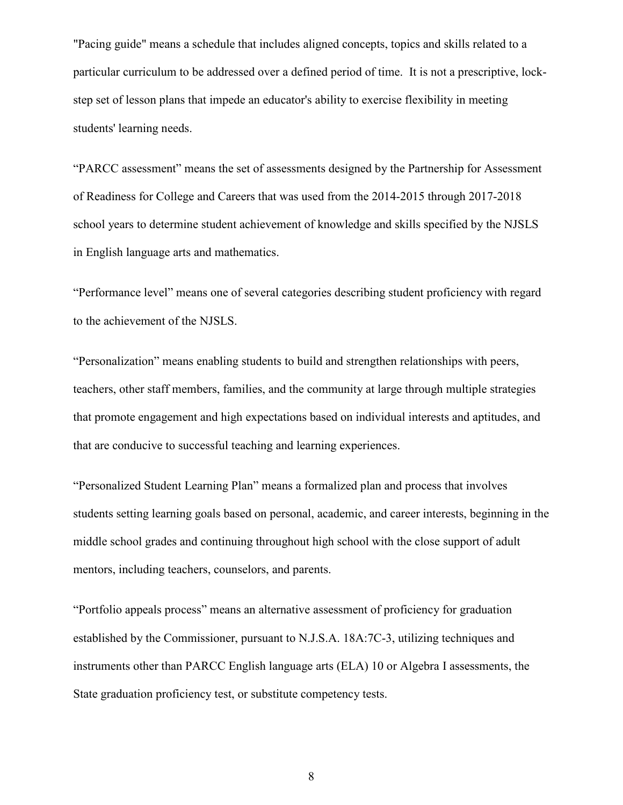"Pacing guide" means a schedule that includes aligned concepts, topics and skills related to a particular curriculum to be addressed over a defined period of time. It is not a prescriptive, lockstep set of lesson plans that impede an educator's ability to exercise flexibility in meeting students' learning needs.

"PARCC assessment" means the set of assessments designed by the Partnership for Assessment of Readiness for College and Careers that was used from the 2014-2015 through 2017-2018 school years to determine student achievement of knowledge and skills specified by the NJSLS in English language arts and mathematics.

"Performance level" means one of several categories describing student proficiency with regard to the achievement of the NJSLS.

"Personalization" means enabling students to build and strengthen relationships with peers, teachers, other staff members, families, and the community at large through multiple strategies that promote engagement and high expectations based on individual interests and aptitudes, and that are conducive to successful teaching and learning experiences.

"Personalized Student Learning Plan" means a formalized plan and process that involves students setting learning goals based on personal, academic, and career interests, beginning in the middle school grades and continuing throughout high school with the close support of adult mentors, including teachers, counselors, and parents.

"Portfolio appeals process" means an alternative assessment of proficiency for graduation established by the Commissioner, pursuant to N.J.S.A. 18A:7C-3, utilizing techniques and instruments other than PARCC English language arts (ELA) 10 or Algebra I assessments, the State graduation proficiency test, or substitute competency tests.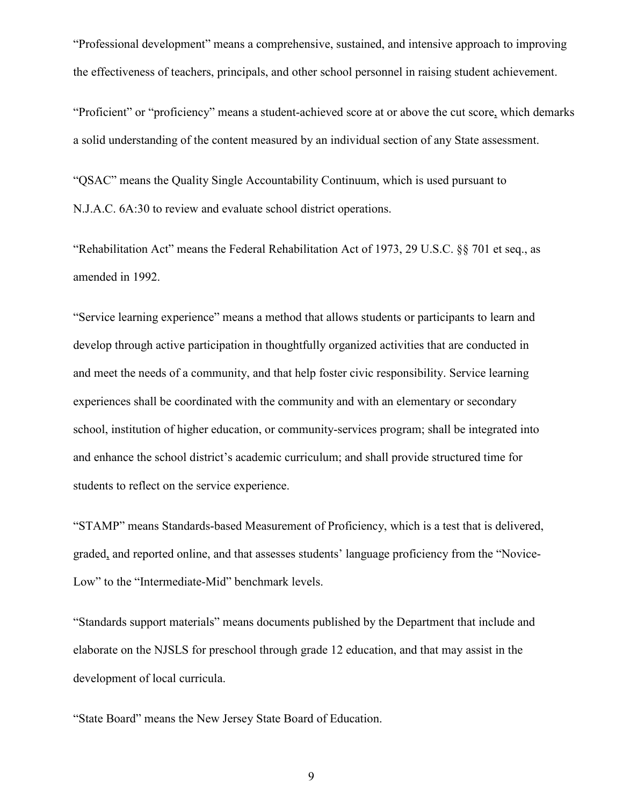"Professional development" means a comprehensive, sustained, and intensive approach to improving the effectiveness of teachers, principals, and other school personnel in raising student achievement.

"Proficient" or "proficiency" means a student-achieved score at or above the cut score, which demarks a solid understanding of the content measured by an individual section of any State assessment.

"QSAC" means the Quality Single Accountability Continuum, which is used pursuant to N.J.A.C. 6A:30 to review and evaluate school district operations.

"Rehabilitation Act" means the Federal Rehabilitation Act of 1973, 29 U.S.C. §§ 701 et seq., as amended in 1992.

"Service learning experience" means a method that allows students or participants to learn and develop through active participation in thoughtfully organized activities that are conducted in and meet the needs of a community, and that help foster civic responsibility. Service learning experiences shall be coordinated with the community and with an elementary or secondary school, institution of higher education, or community-services program; shall be integrated into and enhance the school district's academic curriculum; and shall provide structured time for students to reflect on the service experience.

"STAMP" means Standards-based Measurement of Proficiency, which is a test that is delivered, graded, and reported online, and that assesses students' language proficiency from the "Novice-Low" to the "Intermediate-Mid" benchmark levels.

"Standards support materials" means documents published by the Department that include and elaborate on the NJSLS for preschool through grade 12 education, and that may assist in the development of local curricula.

"State Board" means the New Jersey State Board of Education.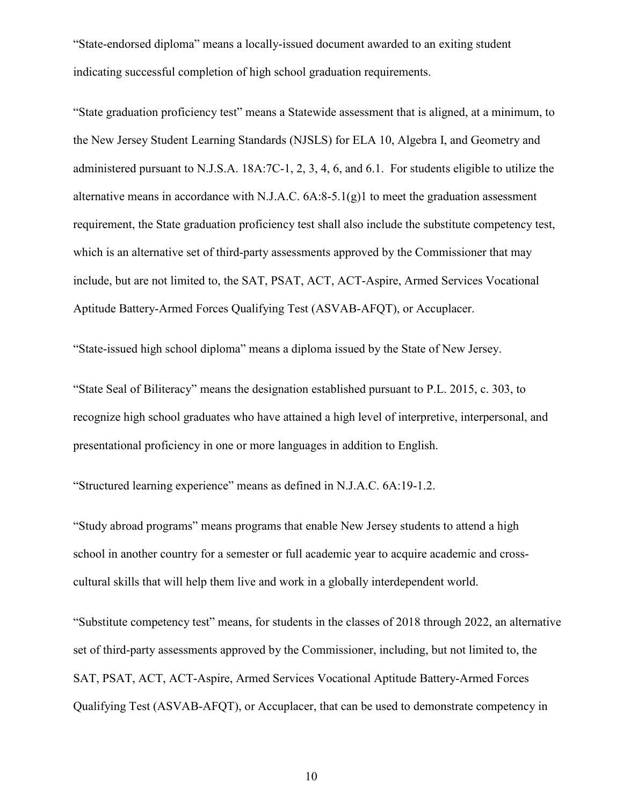"State-endorsed diploma" means a locally-issued document awarded to an exiting student indicating successful completion of high school graduation requirements.

"State graduation proficiency test" means a Statewide assessment that is aligned, at a minimum, to the New Jersey Student Learning Standards (NJSLS) for ELA 10, Algebra I, and Geometry and administered pursuant to N.J.S.A. 18A:7C-1, 2, 3, 4, 6, and 6.1. For students eligible to utilize the alternative means in accordance with N.J.A.C.  $6A:8-5.1(g)1$  to meet the graduation assessment requirement, the State graduation proficiency test shall also include the substitute competency test, which is an alternative set of third-party assessments approved by the Commissioner that may include, but are not limited to, the SAT, PSAT, ACT, ACT-Aspire, Armed Services Vocational Aptitude Battery-Armed Forces Qualifying Test (ASVAB-AFQT), or Accuplacer.

"State-issued high school diploma" means a diploma issued by the State of New Jersey.

"State Seal of Biliteracy" means the designation established pursuant to P.L. 2015, c. 303, to recognize high school graduates who have attained a high level of interpretive, interpersonal, and presentational proficiency in one or more languages in addition to English.

"Structured learning experience" means as defined in N.J.A.C. 6A:19-1.2.

"Study abroad programs" means programs that enable New Jersey students to attend a high school in another country for a semester or full academic year to acquire academic and crosscultural skills that will help them live and work in a globally interdependent world.

"Substitute competency test" means, for students in the classes of 2018 through 2022, an alternative set of third-party assessments approved by the Commissioner, including, but not limited to, the SAT, PSAT, ACT, ACT-Aspire, Armed Services Vocational Aptitude Battery-Armed Forces Qualifying Test (ASVAB-AFQT), or Accuplacer, that can be used to demonstrate competency in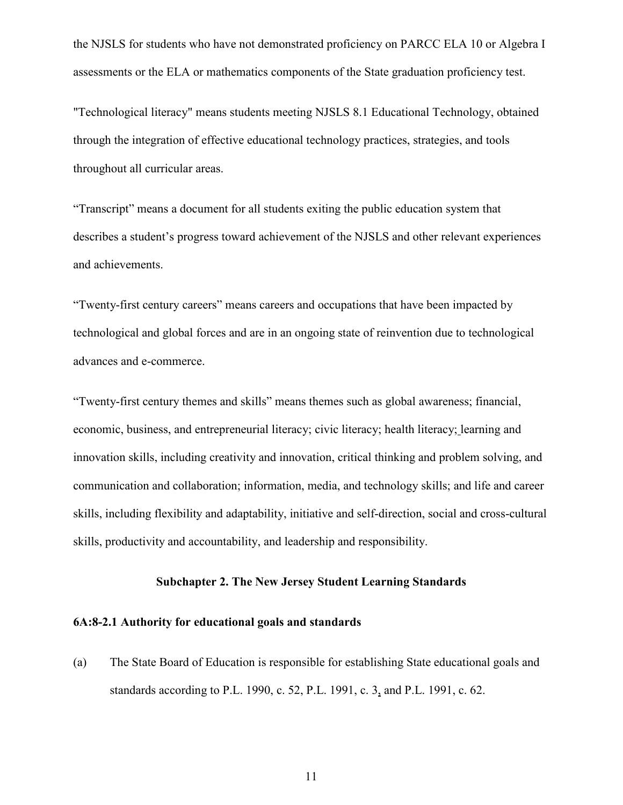the NJSLS for students who have not demonstrated proficiency on PARCC ELA 10 or Algebra I assessments or the ELA or mathematics components of the State graduation proficiency test.

"Technological literacy" means students meeting NJSLS 8.1 Educational Technology, obtained through the integration of effective educational technology practices, strategies, and tools throughout all curricular areas.

"Transcript" means a document for all students exiting the public education system that describes a student's progress toward achievement of the NJSLS and other relevant experiences and achievements.

"Twenty-first century careers" means careers and occupations that have been impacted by technological and global forces and are in an ongoing state of reinvention due to technological advances and e-commerce.

"Twenty-first century themes and skills" means themes such as global awareness; financial, economic, business, and entrepreneurial literacy; civic literacy; health literacy; learning and innovation skills, including creativity and innovation, critical thinking and problem solving, and communication and collaboration; information, media, and technology skills; and life and career skills, including flexibility and adaptability, initiative and self-direction, social and cross-cultural skills, productivity and accountability, and leadership and responsibility.

## **Subchapter 2. The New Jersey Student Learning Standards**

### <span id="page-11-1"></span><span id="page-11-0"></span>**6A:8-2.1 Authority for educational goals and standards**

(a) The State Board of Education is responsible for establishing State educational goals and standards according to P.L. 1990, c. 52, P.L. 1991, c. 3, and P.L. 1991, c. 62.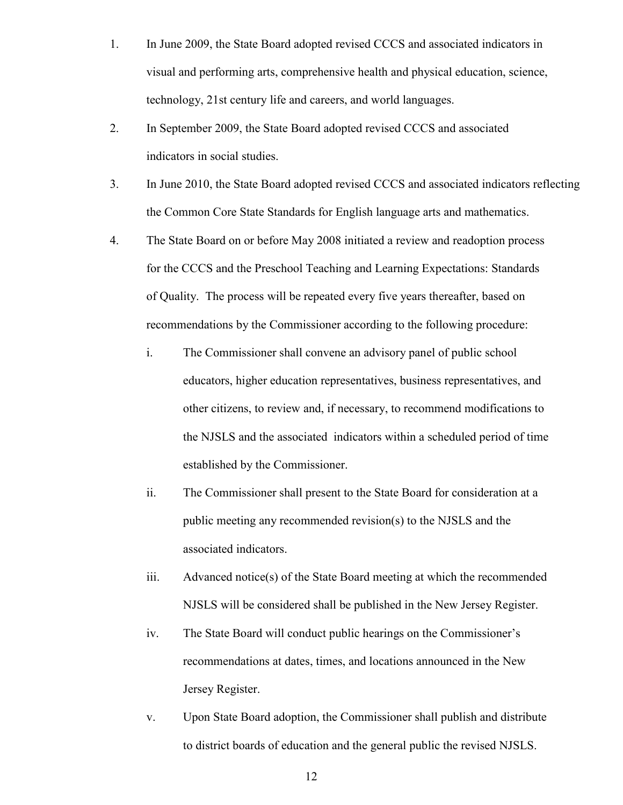- 1. In June 2009, the State Board adopted revised CCCS and associated indicators in visual and performing arts, comprehensive health and physical education, science, technology, 21st century life and careers, and world languages.
- 2. In September 2009, the State Board adopted revised CCCS and associated indicators in social studies.
- 3. In June 2010, the State Board adopted revised CCCS and associated indicators reflecting the Common Core State Standards for English language arts and mathematics.
- 4. The State Board on or before May 2008 initiated a review and readoption process for the CCCS and the Preschool Teaching and Learning Expectations: Standards of Quality. The process will be repeated every five years thereafter, based on recommendations by the Commissioner according to the following procedure:
	- i. The Commissioner shall convene an advisory panel of public school educators, higher education representatives, business representatives, and other citizens, to review and, if necessary, to recommend modifications to the NJSLS and the associated indicators within a scheduled period of time established by the Commissioner.
	- ii. The Commissioner shall present to the State Board for consideration at a public meeting any recommended revision(s) to the NJSLS and the associated indicators.
	- iii. Advanced notice(s) of the State Board meeting at which the recommended NJSLS will be considered shall be published in the New Jersey Register.
	- iv. The State Board will conduct public hearings on the Commissioner's recommendations at dates, times, and locations announced in the New Jersey Register.
	- v. Upon State Board adoption, the Commissioner shall publish and distribute to district boards of education and the general public the revised NJSLS.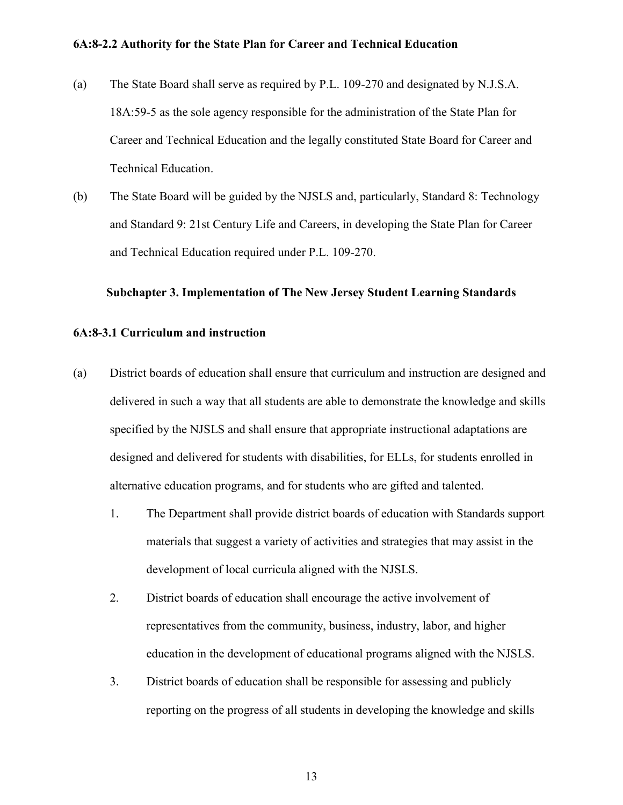### <span id="page-13-0"></span>**6A:8-2.2 Authority for the State Plan for Career and Technical Education**

- (a) The State Board shall serve as required by P.L. 109-270 and designated by N.J.S.A. 18A:59-5 as the sole agency responsible for the administration of the State Plan for Career and Technical Education and the legally constituted State Board for Career and Technical Education.
- (b) The State Board will be guided by the NJSLS and, particularly, Standard 8: Technology and Standard 9: 21st Century Life and Careers, in developing the State Plan for Career and Technical Education required under P.L. 109-270.

#### <span id="page-13-1"></span>**Subchapter 3. Implementation of The New Jersey Student Learning Standards**

#### <span id="page-13-2"></span>**6A:8-3.1 Curriculum and instruction**

- (a) District boards of education shall ensure that curriculum and instruction are designed and delivered in such a way that all students are able to demonstrate the knowledge and skills specified by the NJSLS and shall ensure that appropriate instructional adaptations are designed and delivered for students with disabilities, for ELLs, for students enrolled in alternative education programs, and for students who are gifted and talented.
	- 1. The Department shall provide district boards of education with Standards support materials that suggest a variety of activities and strategies that may assist in the development of local curricula aligned with the NJSLS.
	- 2. District boards of education shall encourage the active involvement of representatives from the community, business, industry, labor, and higher education in the development of educational programs aligned with the NJSLS.
	- 3. District boards of education shall be responsible for assessing and publicly reporting on the progress of all students in developing the knowledge and skills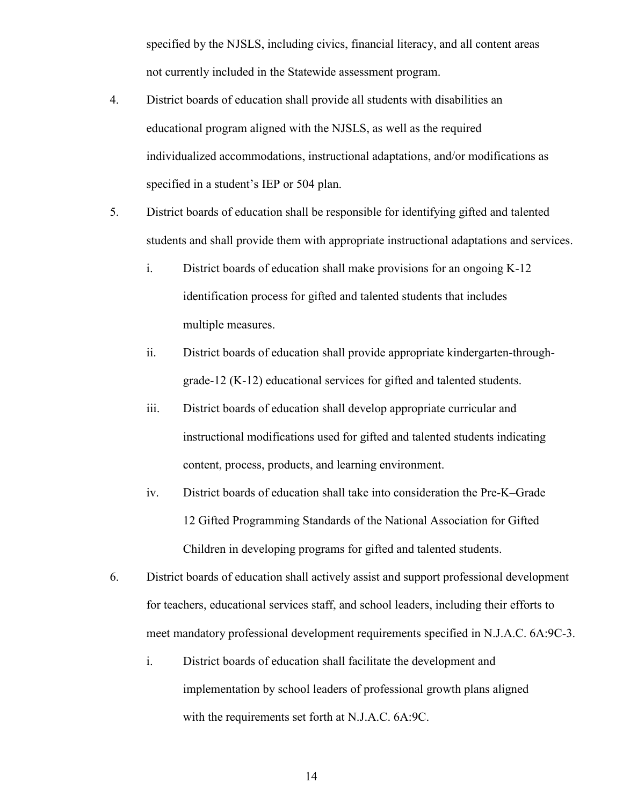specified by the NJSLS, including civics, financial literacy, and all content areas not currently included in the Statewide assessment program.

- 4. District boards of education shall provide all students with disabilities an educational program aligned with the NJSLS, as well as the required individualized accommodations, instructional adaptations, and/or modifications as specified in a student's IEP or 504 plan.
- 5. District boards of education shall be responsible for identifying gifted and talented students and shall provide them with appropriate instructional adaptations and services.
	- i. District boards of education shall make provisions for an ongoing K-12 identification process for gifted and talented students that includes multiple measures.
	- ii. District boards of education shall provide appropriate kindergarten-throughgrade-12 (K-12) educational services for gifted and talented students.
	- iii. District boards of education shall develop appropriate curricular and instructional modifications used for gifted and talented students indicating content, process, products, and learning environment.
	- iv. District boards of education shall take into consideration the Pre-K–Grade 12 Gifted Programming Standards of the National Association for Gifted Children in developing programs for gifted and talented students.
- 6. District boards of education shall actively assist and support professional development for teachers, educational services staff, and school leaders, including their efforts to meet mandatory professional development requirements specified in N.J.A.C. 6A:9C-3.
	- i. District boards of education shall facilitate the development and implementation by school leaders of professional growth plans aligned with the requirements set forth at N.J.A.C. 6A:9C.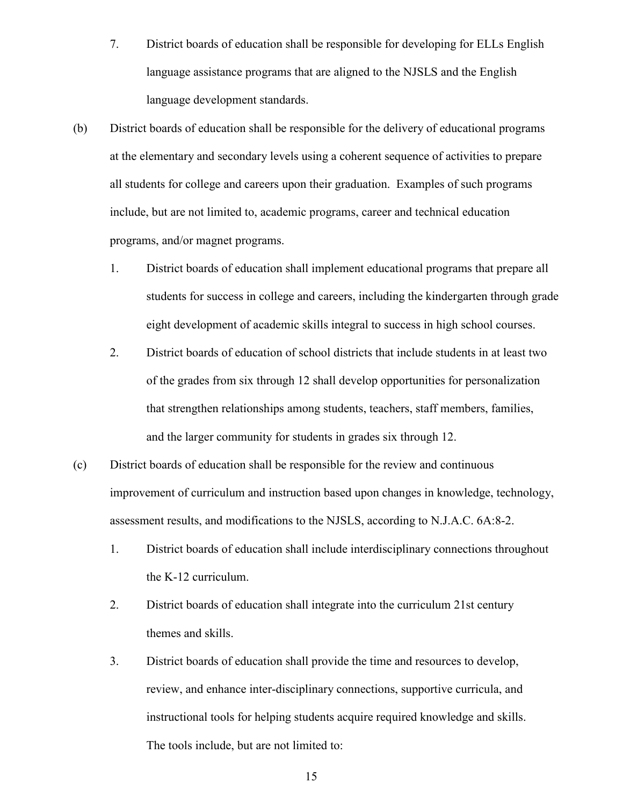- 7. District boards of education shall be responsible for developing for ELLs English language assistance programs that are aligned to the NJSLS and the English language development standards.
- (b) District boards of education shall be responsible for the delivery of educational programs at the elementary and secondary levels using a coherent sequence of activities to prepare all students for college and careers upon their graduation. Examples of such programs include, but are not limited to, academic programs, career and technical education programs, and/or magnet programs.
	- 1. District boards of education shall implement educational programs that prepare all students for success in college and careers, including the kindergarten through grade eight development of academic skills integral to success in high school courses.
	- 2. District boards of education of school districts that include students in at least two of the grades from six through 12 shall develop opportunities for personalization that strengthen relationships among students, teachers, staff members, families, and the larger community for students in grades six through 12.
- (c) District boards of education shall be responsible for the review and continuous improvement of curriculum and instruction based upon changes in knowledge, technology, assessment results, and modifications to the NJSLS, according to N.J.A.C. 6A:8-2.
	- 1. District boards of education shall include interdisciplinary connections throughout the K-12 curriculum.
	- 2. District boards of education shall integrate into the curriculum 21st century themes and skills.
	- 3. District boards of education shall provide the time and resources to develop, review, and enhance inter-disciplinary connections, supportive curricula, and instructional tools for helping students acquire required knowledge and skills. The tools include, but are not limited to: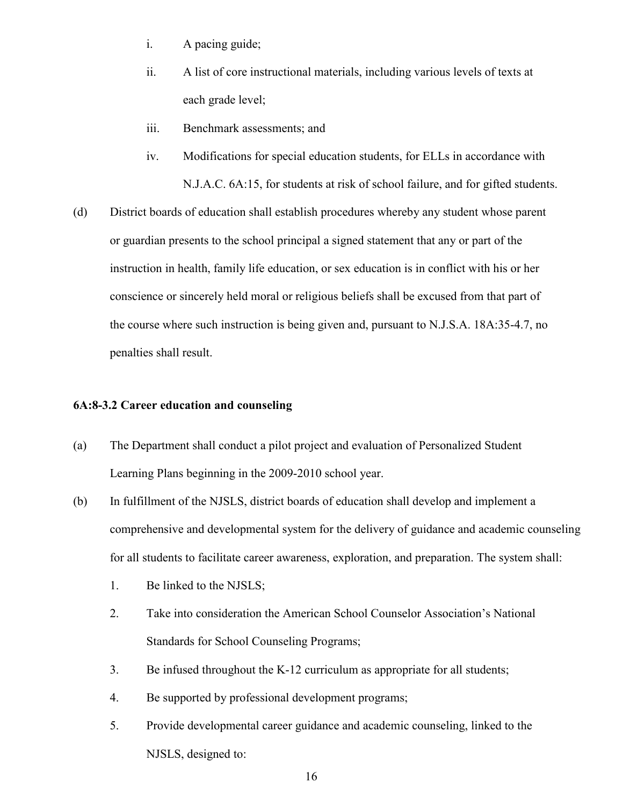- i. A pacing guide;
- ii. A list of core instructional materials, including various levels of texts at each grade level;
- iii. Benchmark assessments; and
- iv. Modifications for special education students, for ELLs in accordance with N.J.A.C. 6A:15, for students at risk of school failure, and for gifted students.
- (d) District boards of education shall establish procedures whereby any student whose parent or guardian presents to the school principal a signed statement that any or part of the instruction in health, family life education, or sex education is in conflict with his or her conscience or sincerely held moral or religious beliefs shall be excused from that part of the course where such instruction is being given and, pursuant to N.J.S.A. 18A:35-4.7, no penalties shall result.

#### <span id="page-16-0"></span>**6A:8-3.2 Career education and counseling**

- (a) The Department shall conduct a pilot project and evaluation of Personalized Student Learning Plans beginning in the 2009-2010 school year.
- (b) In fulfillment of the NJSLS, district boards of education shall develop and implement a comprehensive and developmental system for the delivery of guidance and academic counseling for all students to facilitate career awareness, exploration, and preparation. The system shall:
	- 1. Be linked to the NJSLS;
	- 2. Take into consideration the American School Counselor Association's National Standards for School Counseling Programs;
	- 3. Be infused throughout the K-12 curriculum as appropriate for all students;
	- 4. Be supported by professional development programs;
	- 5. Provide developmental career guidance and academic counseling, linked to the NJSLS, designed to: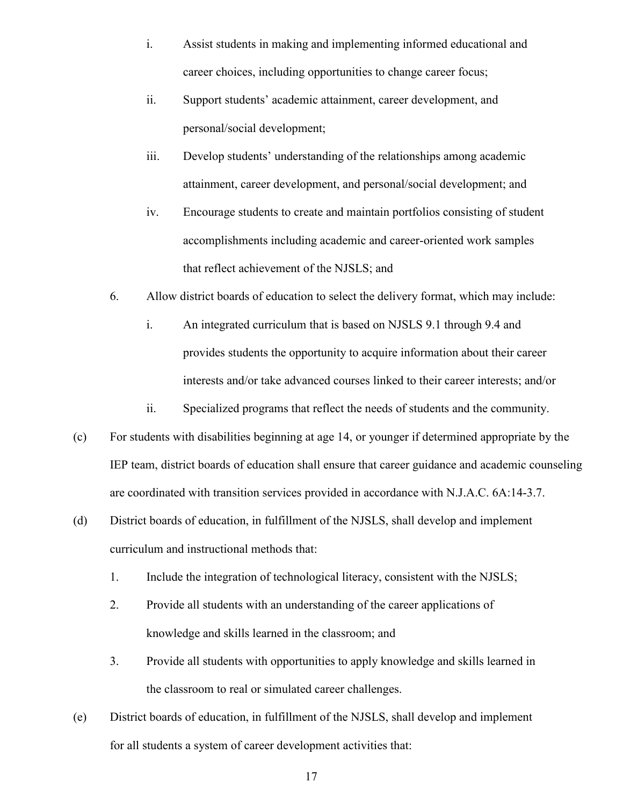- i. Assist students in making and implementing informed educational and career choices, including opportunities to change career focus;
- ii. Support students' academic attainment, career development, and personal/social development;
- iii. Develop students' understanding of the relationships among academic attainment, career development, and personal/social development; and
- iv. Encourage students to create and maintain portfolios consisting of student accomplishments including academic and career-oriented work samples that reflect achievement of the NJSLS; and
- 6. Allow district boards of education to select the delivery format, which may include:
	- i. An integrated curriculum that is based on NJSLS 9.1 through 9.4 and provides students the opportunity to acquire information about their career interests and/or take advanced courses linked to their career interests; and/or
	- ii. Specialized programs that reflect the needs of students and the community.
- (c) For students with disabilities beginning at age 14, or younger if determined appropriate by the IEP team, district boards of education shall ensure that career guidance and academic counseling are coordinated with transition services provided in accordance with N.J.A.C. 6A:14-3.7.
- (d) District boards of education, in fulfillment of the NJSLS, shall develop and implement curriculum and instructional methods that:
	- 1. Include the integration of technological literacy, consistent with the NJSLS;
	- 2. Provide all students with an understanding of the career applications of knowledge and skills learned in the classroom; and
	- 3. Provide all students with opportunities to apply knowledge and skills learned in the classroom to real or simulated career challenges.
- (e) District boards of education, in fulfillment of the NJSLS, shall develop and implement for all students a system of career development activities that: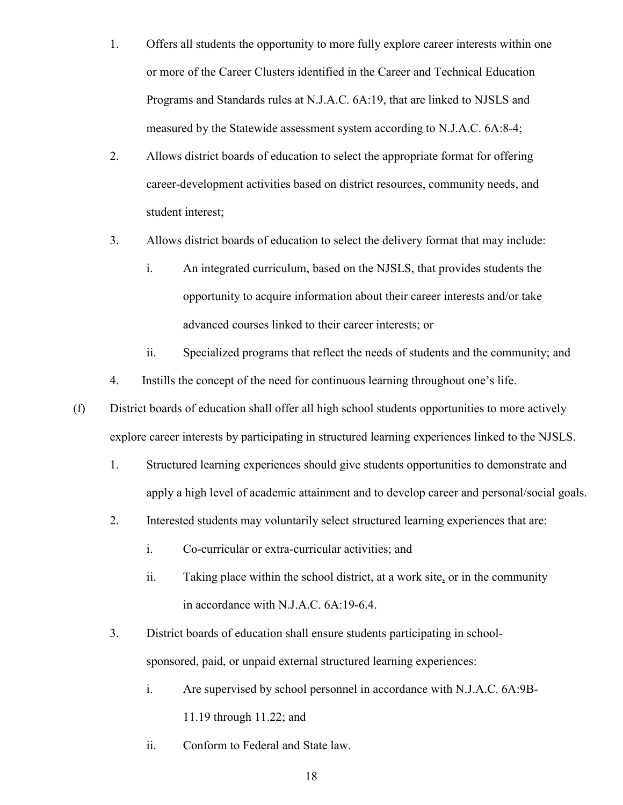- 1. Offers all students the opportunity to more fully explore career interests within one or more of the Career Clusters identified in the Career and Technical Education Programs and Standards rules at N.J.A.C. 6A:19, that are linked to NJSLS and measured by the Statewide assessment system according to N.J.A.C. 6A:8-4;
- 2. Allows district boards of education to select the appropriate format for offering career-development activities based on district resources, community needs, and student interest;
- 3. Allows district boards of education to select the delivery format that may include:
	- i. An integrated curriculum, based on the NJSLS, that provides students the opportunity to acquire information about their career interests and/or take advanced courses linked to their career interests; or
	- ii. Specialized programs that reflect the needs of students and the community; and
- 4. Instills the concept of the need for continuous learning throughout one's life.
- (f) District boards of education shall offer all high school students opportunities to more actively explore career interests by participating in structured learning experiences linked to the NJSLS.
	- 1. Structured learning experiences should give students opportunities to demonstrate and apply a high level of academic attainment and to develop career and personal/social goals.
	- 2. Interested students may voluntarily select structured learning experiences that are:
		- i. Co-curricular or extra-curricular activities; and
		- ii. Taking place within the school district, at a work site, or in the community in accordance with N.J.A.C. 6A:19-6.4.
	- 3. District boards of education shall ensure students participating in schoolsponsored, paid, or unpaid external structured learning experiences:
		- i. Are supervised by school personnel in accordance with N.J.A.C. 6A:9B-11.19 through 11.22; and
		- ii. Conform to Federal and State law.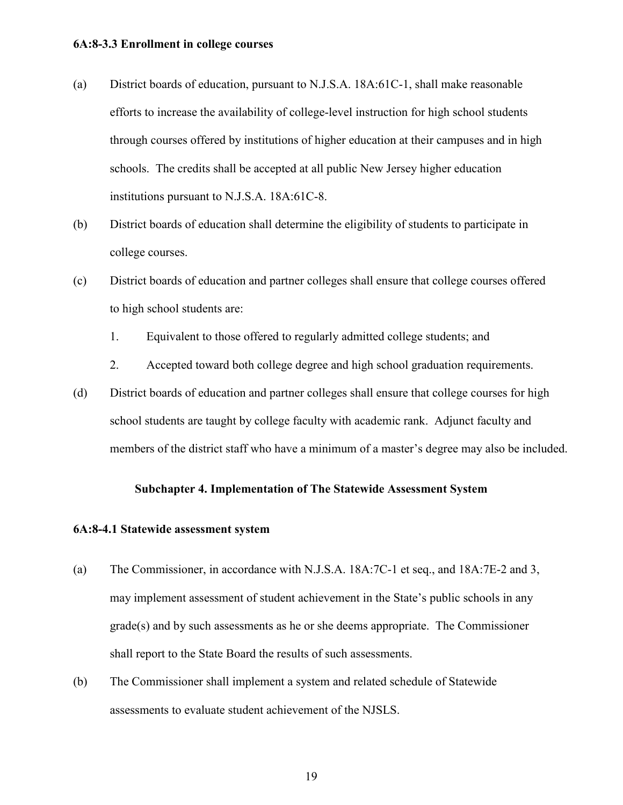#### <span id="page-19-0"></span>**6A:8-3.3 Enrollment in college courses**

- (a) District boards of education, pursuant to N.J.S.A. 18A:61C-1, shall make reasonable efforts to increase the availability of college-level instruction for high school students through courses offered by institutions of higher education at their campuses and in high schools. The credits shall be accepted at all public New Jersey higher education institutions pursuant to N.J.S.A. 18A:61C-8.
- (b) District boards of education shall determine the eligibility of students to participate in college courses.
- (c) District boards of education and partner colleges shall ensure that college courses offered to high school students are:
	- 1. Equivalent to those offered to regularly admitted college students; and
	- 2. Accepted toward both college degree and high school graduation requirements.
- (d) District boards of education and partner colleges shall ensure that college courses for high school students are taught by college faculty with academic rank. Adjunct faculty and members of the district staff who have a minimum of a master's degree may also be included.

#### **Subchapter 4. Implementation of The Statewide Assessment System**

#### <span id="page-19-2"></span><span id="page-19-1"></span>**6A:8-4.1 Statewide assessment system**

- (a) The Commissioner, in accordance with N.J.S.A. 18A:7C-1 et seq., and 18A:7E-2 and 3, may implement assessment of student achievement in the State's public schools in any grade(s) and by such assessments as he or she deems appropriate. The Commissioner shall report to the State Board the results of such assessments.
- (b) The Commissioner shall implement a system and related schedule of Statewide assessments to evaluate student achievement of the NJSLS.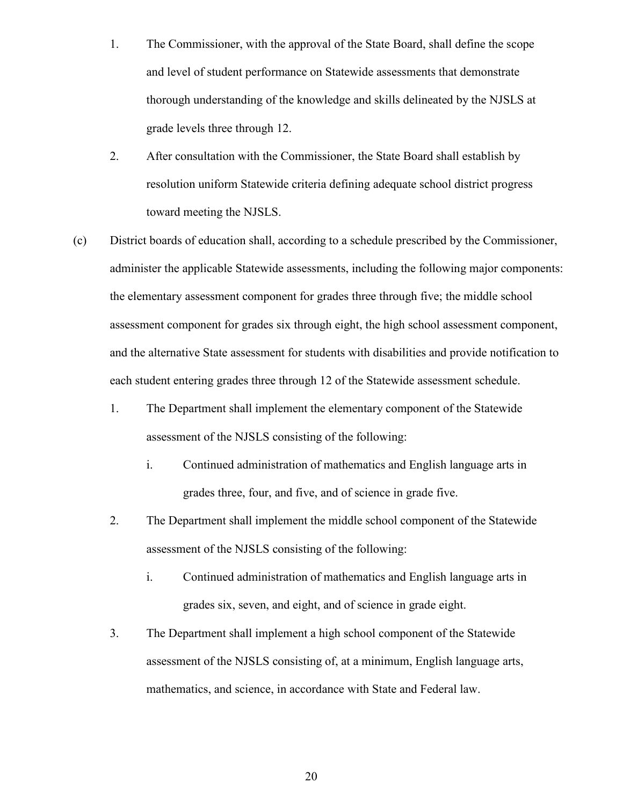- 1. The Commissioner, with the approval of the State Board, shall define the scope and level of student performance on Statewide assessments that demonstrate thorough understanding of the knowledge and skills delineated by the NJSLS at grade levels three through 12.
- 2. After consultation with the Commissioner, the State Board shall establish by resolution uniform Statewide criteria defining adequate school district progress toward meeting the NJSLS.
- (c) District boards of education shall, according to a schedule prescribed by the Commissioner, administer the applicable Statewide assessments, including the following major components: the elementary assessment component for grades three through five; the middle school assessment component for grades six through eight, the high school assessment component, and the alternative State assessment for students with disabilities and provide notification to each student entering grades three through 12 of the Statewide assessment schedule.
	- 1. The Department shall implement the elementary component of the Statewide assessment of the NJSLS consisting of the following:
		- i. Continued administration of mathematics and English language arts in grades three, four, and five, and of science in grade five.
	- 2. The Department shall implement the middle school component of the Statewide assessment of the NJSLS consisting of the following:
		- i. Continued administration of mathematics and English language arts in grades six, seven, and eight, and of science in grade eight.
	- 3. The Department shall implement a high school component of the Statewide assessment of the NJSLS consisting of, at a minimum, English language arts, mathematics, and science, in accordance with State and Federal law.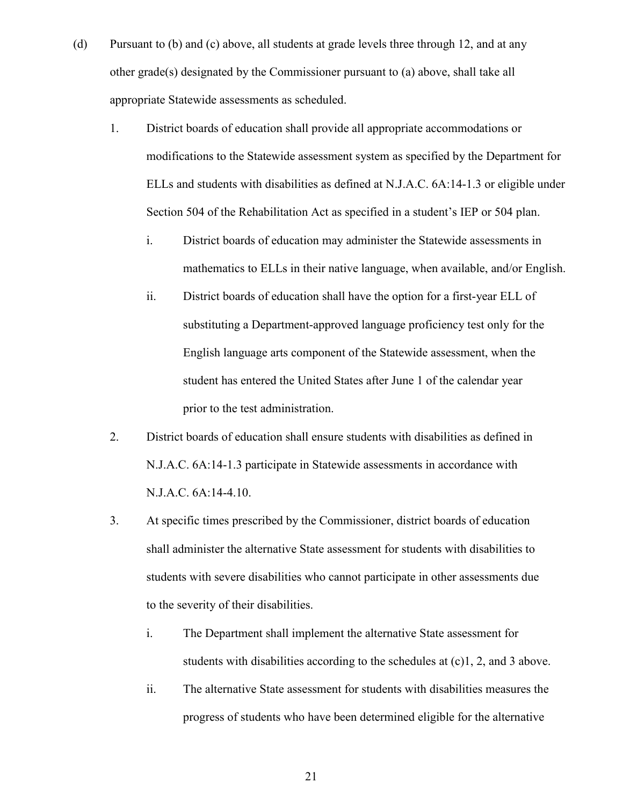- (d) Pursuant to (b) and (c) above, all students at grade levels three through 12, and at any other grade(s) designated by the Commissioner pursuant to (a) above, shall take all appropriate Statewide assessments as scheduled.
	- 1. District boards of education shall provide all appropriate accommodations or modifications to the Statewide assessment system as specified by the Department for ELLs and students with disabilities as defined at N.J.A.C. 6A:14-1.3 or eligible under Section 504 of the Rehabilitation Act as specified in a student's IEP or 504 plan.
		- i. District boards of education may administer the Statewide assessments in mathematics to ELLs in their native language, when available, and/or English.
		- ii. District boards of education shall have the option for a first-year ELL of substituting a Department-approved language proficiency test only for the English language arts component of the Statewide assessment, when the student has entered the United States after June 1 of the calendar year prior to the test administration.
	- 2. District boards of education shall ensure students with disabilities as defined in N.J.A.C. 6A:14-1.3 participate in Statewide assessments in accordance with N.J.A.C. 6A:14-4.10.
	- 3. At specific times prescribed by the Commissioner, district boards of education shall administer the alternative State assessment for students with disabilities to students with severe disabilities who cannot participate in other assessments due to the severity of their disabilities.
		- i. The Department shall implement the alternative State assessment for students with disabilities according to the schedules at (c)1, 2, and 3 above.
		- ii. The alternative State assessment for students with disabilities measures the progress of students who have been determined eligible for the alternative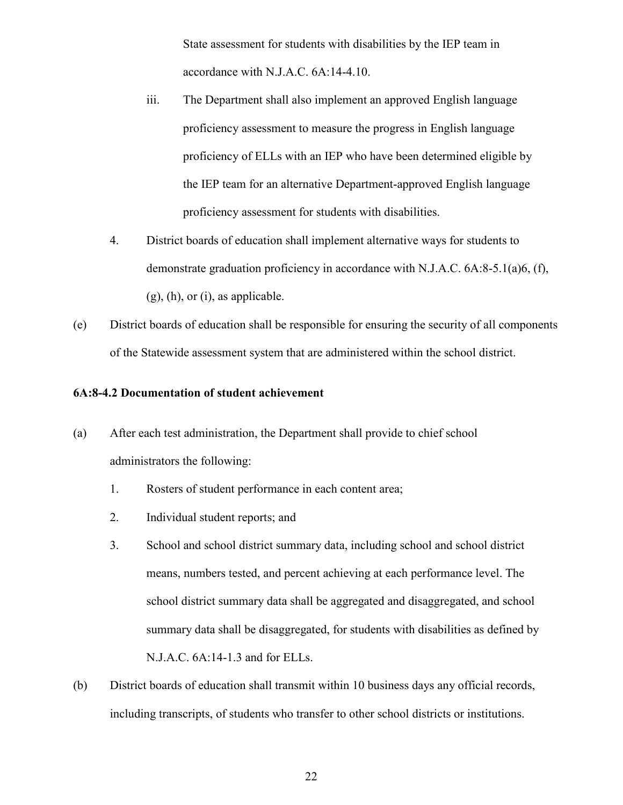State assessment for students with disabilities by the IEP team in accordance with N.J.A.C. 6A:14-4.10.

- iii. The Department shall also implement an approved English language proficiency assessment to measure the progress in English language proficiency of ELLs with an IEP who have been determined eligible by the IEP team for an alternative Department-approved English language proficiency assessment for students with disabilities.
- 4. District boards of education shall implement alternative ways for students to demonstrate graduation proficiency in accordance with N.J.A.C. 6A:8-5.1(a)6, (f),  $(g)$ ,  $(h)$ , or  $(i)$ , as applicable.
- (e) District boards of education shall be responsible for ensuring the security of all components of the Statewide assessment system that are administered within the school district.

## <span id="page-22-0"></span>**6A:8-4.2 Documentation of student achievement**

- (a) After each test administration, the Department shall provide to chief school administrators the following:
	- 1. Rosters of student performance in each content area;
	- 2. Individual student reports; and
	- 3. School and school district summary data, including school and school district means, numbers tested, and percent achieving at each performance level. The school district summary data shall be aggregated and disaggregated, and school summary data shall be disaggregated, for students with disabilities as defined by N.J.A.C. 6A:14-1.3 and for ELLs.
- (b) District boards of education shall transmit within 10 business days any official records, including transcripts, of students who transfer to other school districts or institutions.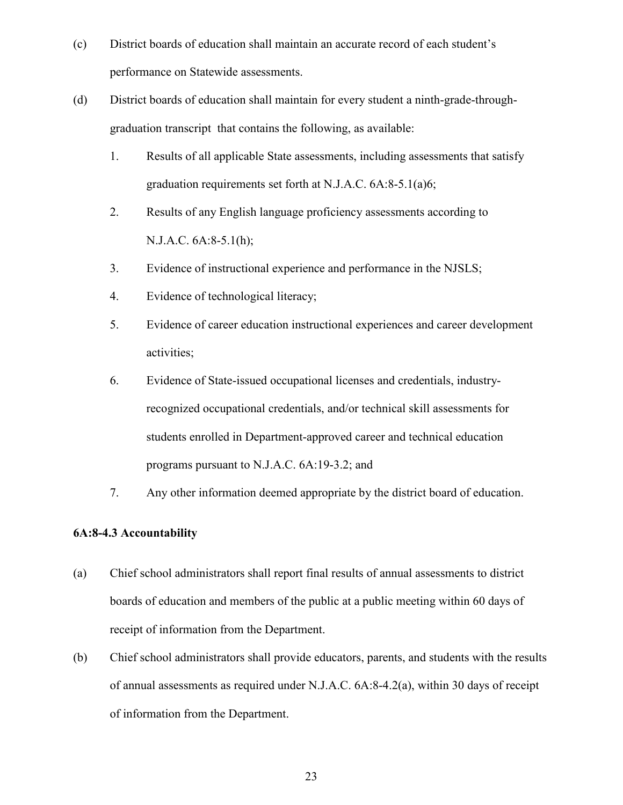- (c) District boards of education shall maintain an accurate record of each student's performance on Statewide assessments.
- (d) District boards of education shall maintain for every student a ninth-grade-throughgraduation transcript that contains the following, as available:
	- 1. Results of all applicable State assessments, including assessments that satisfy graduation requirements set forth at N.J.A.C. 6A:8-5.1(a)6;
	- 2. Results of any English language proficiency assessments according to N.J.A.C. 6A:8-5.1(h);
	- 3. Evidence of instructional experience and performance in the NJSLS;
	- 4. Evidence of technological literacy;
	- 5. Evidence of career education instructional experiences and career development activities;
	- 6. Evidence of State-issued occupational licenses and credentials, industryrecognized occupational credentials, and/or technical skill assessments for students enrolled in Department-approved career and technical education programs pursuant to N.J.A.C. 6A:19-3.2; and
	- 7. Any other information deemed appropriate by the district board of education.

# <span id="page-23-0"></span>**6A:8-4.3 Accountability**

- (a) Chief school administrators shall report final results of annual assessments to district boards of education and members of the public at a public meeting within 60 days of receipt of information from the Department.
- (b) Chief school administrators shall provide educators, parents, and students with the results of annual assessments as required under N.J.A.C. 6A:8-4.2(a), within 30 days of receipt of information from the Department.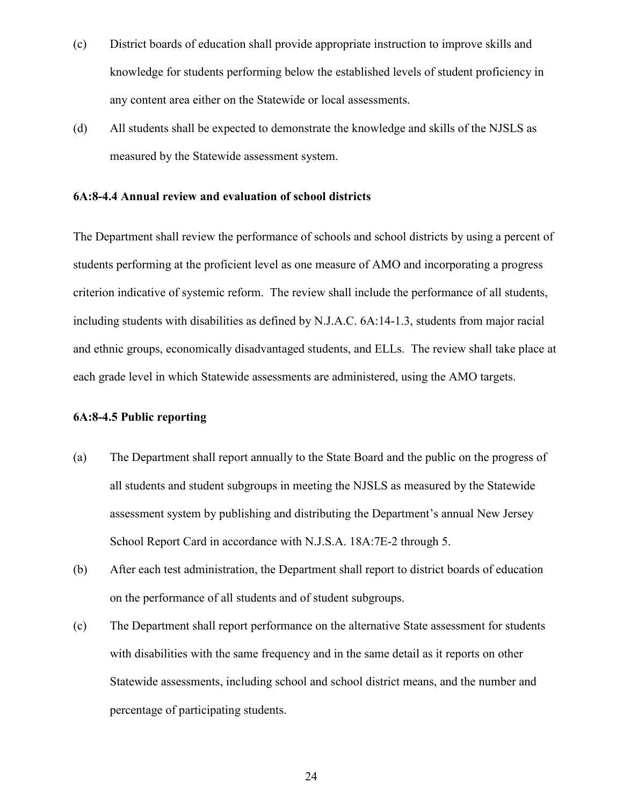- (c) District boards of education shall provide appropriate instruction to improve skills and knowledge for students performing below the established levels of student proficiency in any content area either on the Statewide or local assessments.
- (d) All students shall be expected to demonstrate the knowledge and skills of the NJSLS as measured by the Statewide assessment system.

### <span id="page-24-0"></span>**6A:8-4.4 Annual review and evaluation of school districts**

The Department shall review the performance of schools and school districts by using a percent of students performing at the proficient level as one measure of AMO and incorporating a progress criterion indicative of systemic reform. The review shall include the performance of all students, including students with disabilities as defined by N.J.A.C. 6A:14-1.3, students from major racial and ethnic groups, economically disadvantaged students, and ELLs. The review shall take place at each grade level in which Statewide assessments are administered, using the AMO targets.

#### <span id="page-24-1"></span>**6A:8-4.5 Public reporting**

- (a) The Department shall report annually to the State Board and the public on the progress of all students and student subgroups in meeting the NJSLS as measured by the Statewide assessment system by publishing and distributing the Department's annual New Jersey School Report Card in accordance with N.J.S.A. 18A:7E-2 through 5.
- (b) After each test administration, the Department shall report to district boards of education on the performance of all students and of student subgroups.
- (c) The Department shall report performance on the alternative State assessment for students with disabilities with the same frequency and in the same detail as it reports on other Statewide assessments, including school and school district means, and the number and percentage of participating students.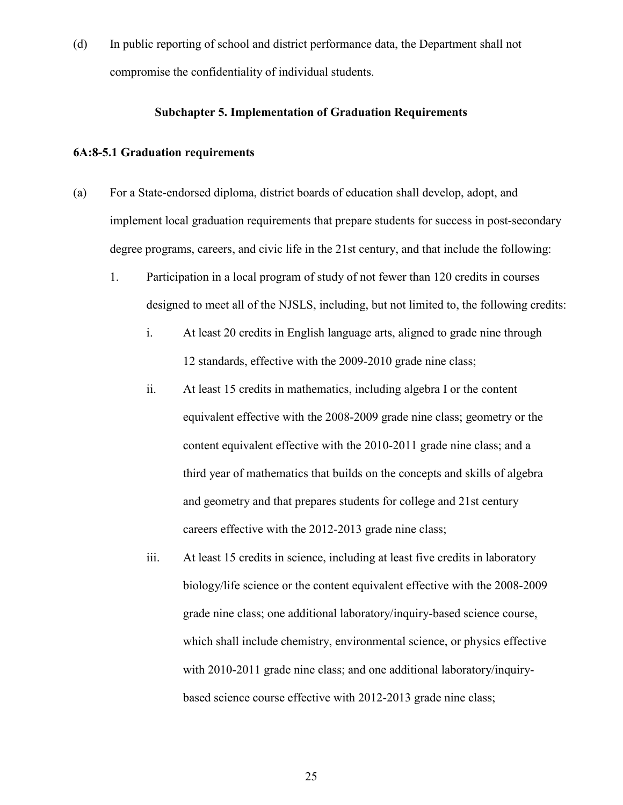(d) In public reporting of school and district performance data, the Department shall not compromise the confidentiality of individual students.

## **Subchapter 5. Implementation of Graduation Requirements**

## <span id="page-25-1"></span><span id="page-25-0"></span>**6A:8-5.1 Graduation requirements**

- (a) For a State-endorsed diploma, district boards of education shall develop, adopt, and implement local graduation requirements that prepare students for success in post-secondary degree programs, careers, and civic life in the 21st century, and that include the following:
	- 1. Participation in a local program of study of not fewer than 120 credits in courses designed to meet all of the NJSLS, including, but not limited to, the following credits:
		- i. At least 20 credits in English language arts, aligned to grade nine through 12 standards, effective with the 2009-2010 grade nine class;
		- ii. At least 15 credits in mathematics, including algebra I or the content equivalent effective with the 2008-2009 grade nine class; geometry or the content equivalent effective with the 2010-2011 grade nine class; and a third year of mathematics that builds on the concepts and skills of algebra and geometry and that prepares students for college and 21st century careers effective with the 2012-2013 grade nine class;
		- iii. At least 15 credits in science, including at least five credits in laboratory biology/life science or the content equivalent effective with the 2008-2009 grade nine class; one additional laboratory/inquiry-based science course, which shall include chemistry, environmental science, or physics effective with 2010-2011 grade nine class; and one additional laboratory/inquirybased science course effective with 2012-2013 grade nine class;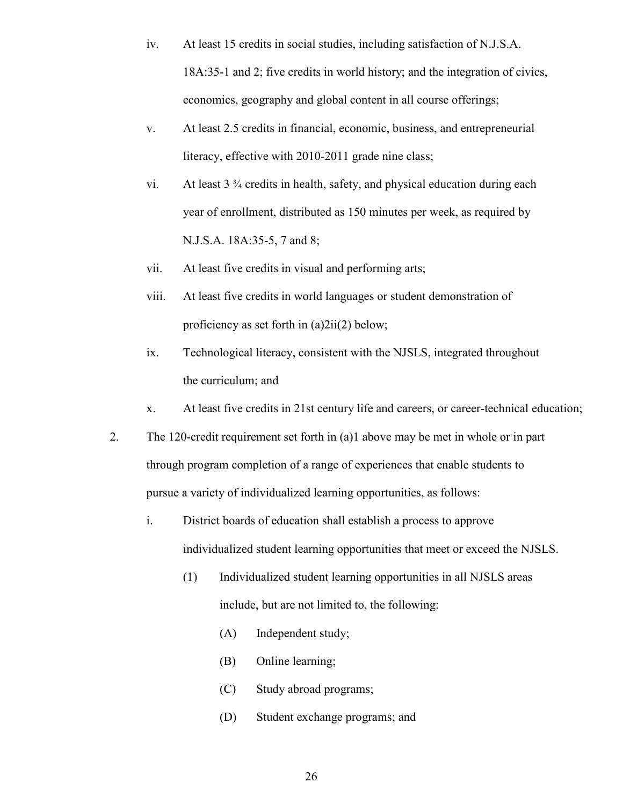- iv. At least 15 credits in social studies, including satisfaction of N.J.S.A. 18A:35-1 and 2; five credits in world history; and the integration of civics, economics, geography and global content in all course offerings;
- v. At least 2.5 credits in financial, economic, business, and entrepreneurial literacy, effective with 2010-2011 grade nine class;
- vi. At least 3 ¾ credits in health, safety, and physical education during each year of enrollment, distributed as 150 minutes per week, as required by N.J.S.A. 18A:35-5, 7 and 8;
- vii. At least five credits in visual and performing arts;
- viii. At least five credits in world languages or student demonstration of proficiency as set forth in (a)2ii(2) below;
- ix. Technological literacy, consistent with the NJSLS, integrated throughout the curriculum; and
- x. At least five credits in 21st century life and careers, or career-technical education;
- 2. The 120-credit requirement set forth in (a)1 above may be met in whole or in part through program completion of a range of experiences that enable students to pursue a variety of individualized learning opportunities, as follows:
	- i. District boards of education shall establish a process to approve individualized student learning opportunities that meet or exceed the NJSLS.
		- (1) Individualized student learning opportunities in all NJSLS areas include, but are not limited to, the following:
			- (A) Independent study;
			- (B) Online learning;
			- (C) Study abroad programs;
			- (D) Student exchange programs; and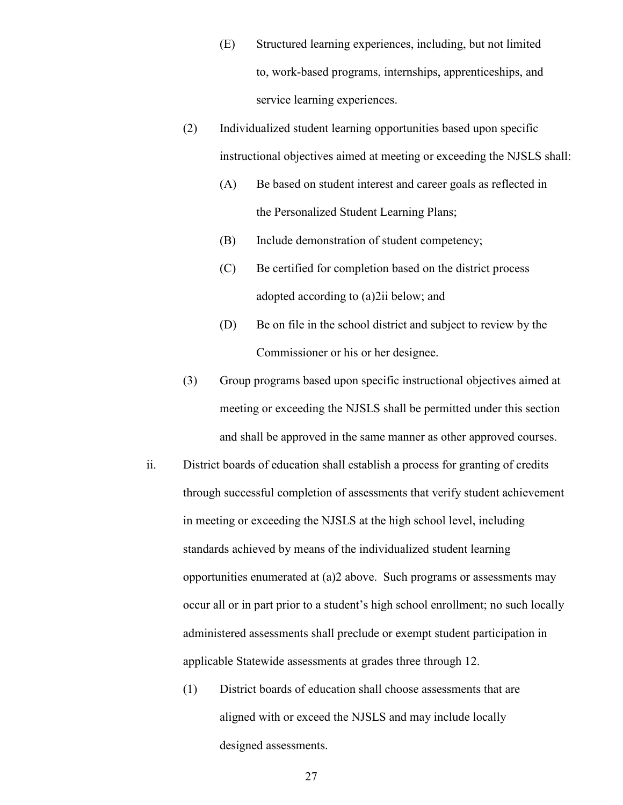- (E) Structured learning experiences, including, but not limited to, work-based programs, internships, apprenticeships, and service learning experiences.
- (2) Individualized student learning opportunities based upon specific instructional objectives aimed at meeting or exceeding the NJSLS shall:
	- (A) Be based on student interest and career goals as reflected in the Personalized Student Learning Plans;
	- (B) Include demonstration of student competency;
	- (C) Be certified for completion based on the district process adopted according to (a)2ii below; and
	- (D) Be on file in the school district and subject to review by the Commissioner or his or her designee.
- (3) Group programs based upon specific instructional objectives aimed at meeting or exceeding the NJSLS shall be permitted under this section and shall be approved in the same manner as other approved courses.
- ii. District boards of education shall establish a process for granting of credits through successful completion of assessments that verify student achievement in meeting or exceeding the NJSLS at the high school level, including standards achieved by means of the individualized student learning opportunities enumerated at (a)2 above. Such programs or assessments may occur all or in part prior to a student's high school enrollment; no such locally administered assessments shall preclude or exempt student participation in applicable Statewide assessments at grades three through 12.
	- (1) District boards of education shall choose assessments that are aligned with or exceed the NJSLS and may include locally designed assessments.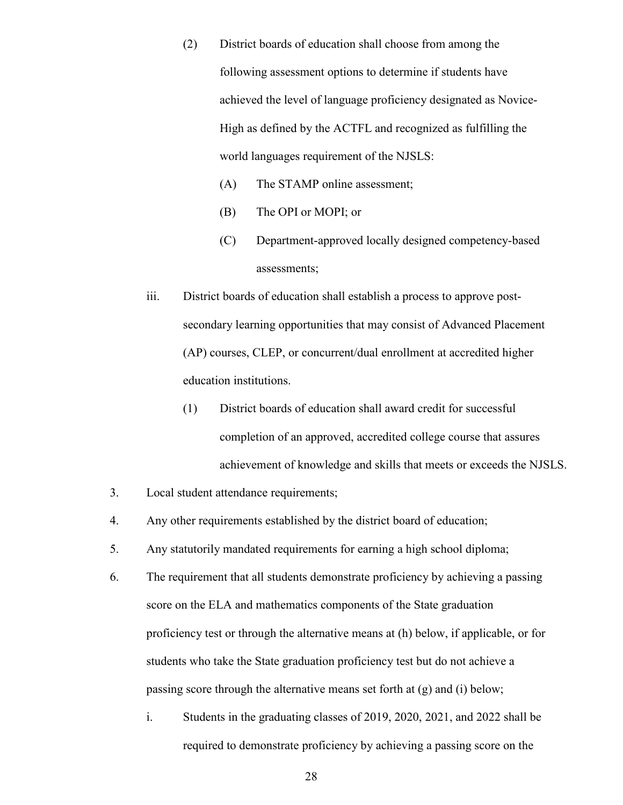- (2) District boards of education shall choose from among the following assessment options to determine if students have achieved the level of language proficiency designated as Novice-High as defined by the ACTFL and recognized as fulfilling the world languages requirement of the NJSLS:
	- (A) The STAMP online assessment;
	- (B) The OPI or MOPI; or
	- (C) Department-approved locally designed competency-based assessments;
- iii. District boards of education shall establish a process to approve postsecondary learning opportunities that may consist of Advanced Placement (AP) courses, CLEP, or concurrent/dual enrollment at accredited higher education institutions.
	- (1) District boards of education shall award credit for successful completion of an approved, accredited college course that assures achievement of knowledge and skills that meets or exceeds the NJSLS.
- 3. Local student attendance requirements;
- 4. Any other requirements established by the district board of education;
- 5. Any statutorily mandated requirements for earning a high school diploma;
- 6. The requirement that all students demonstrate proficiency by achieving a passing score on the ELA and mathematics components of the State graduation proficiency test or through the alternative means at (h) below, if applicable, or for students who take the State graduation proficiency test but do not achieve a passing score through the alternative means set forth at (g) and (i) below;
	- i. Students in the graduating classes of 2019, 2020, 2021, and 2022 shall be required to demonstrate proficiency by achieving a passing score on the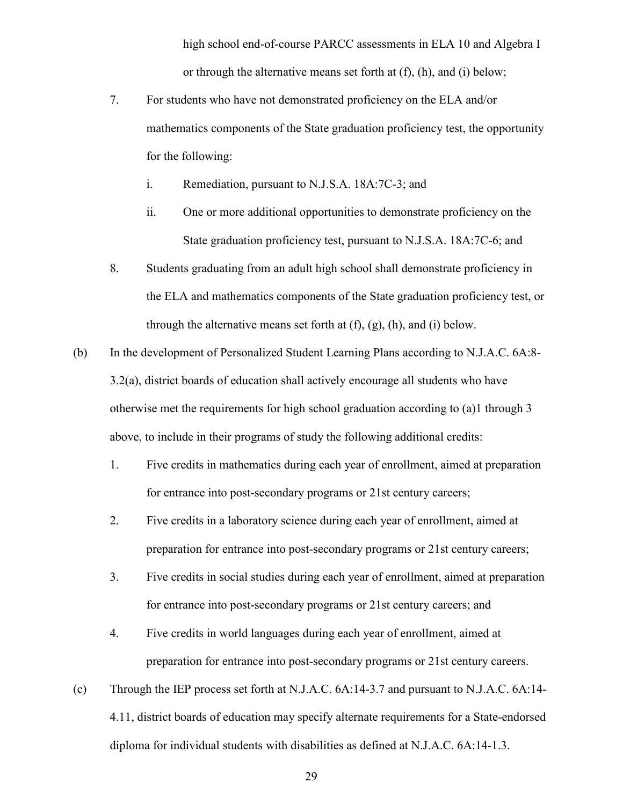high school end-of-course PARCC assessments in ELA 10 and Algebra I or through the alternative means set forth at (f), (h), and (i) below;

- 7. For students who have not demonstrated proficiency on the ELA and/or mathematics components of the State graduation proficiency test, the opportunity for the following:
	- i. Remediation, pursuant to N.J.S.A. 18A:7C-3; and
	- ii. One or more additional opportunities to demonstrate proficiency on the State graduation proficiency test, pursuant to N.J.S.A. 18A:7C-6; and
- 8. Students graduating from an adult high school shall demonstrate proficiency in the ELA and mathematics components of the State graduation proficiency test, or through the alternative means set forth at  $(f)$ ,  $(g)$ ,  $(h)$ , and  $(i)$  below.
- (b) In the development of Personalized Student Learning Plans according to N.J.A.C. 6A:8- 3.2(a), district boards of education shall actively encourage all students who have otherwise met the requirements for high school graduation according to (a)1 through 3 above, to include in their programs of study the following additional credits:
	- 1. Five credits in mathematics during each year of enrollment, aimed at preparation for entrance into post-secondary programs or 21st century careers;
	- 2. Five credits in a laboratory science during each year of enrollment, aimed at preparation for entrance into post-secondary programs or 21st century careers;
	- 3. Five credits in social studies during each year of enrollment, aimed at preparation for entrance into post-secondary programs or 21st century careers; and
	- 4. Five credits in world languages during each year of enrollment, aimed at preparation for entrance into post-secondary programs or 21st century careers.
- (c) Through the IEP process set forth at N.J.A.C. 6A:14-3.7 and pursuant to N.J.A.C. 6A:14- 4.11, district boards of education may specify alternate requirements for a State-endorsed diploma for individual students with disabilities as defined at N.J.A.C. 6A:14-1.3.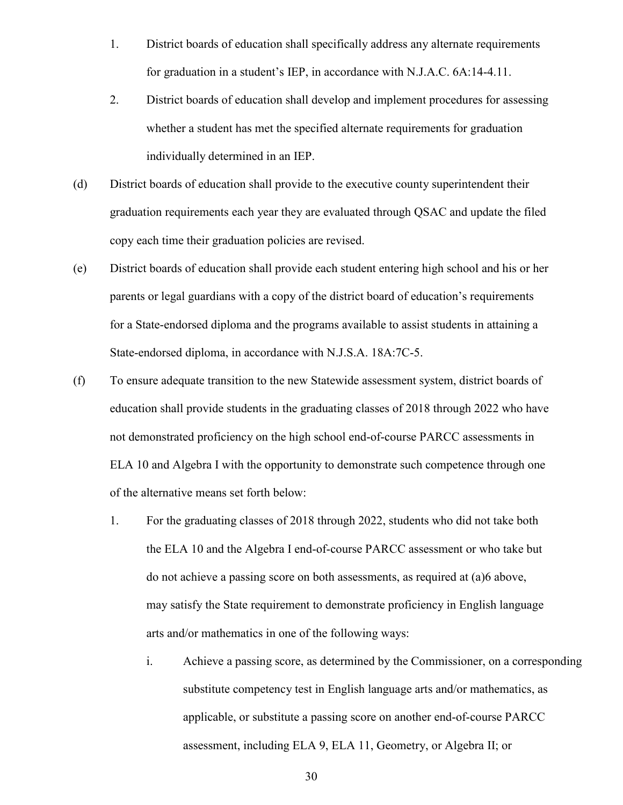- 1. District boards of education shall specifically address any alternate requirements for graduation in a student's IEP, in accordance with N.J.A.C. 6A:14-4.11.
- 2. District boards of education shall develop and implement procedures for assessing whether a student has met the specified alternate requirements for graduation individually determined in an IEP.
- (d) District boards of education shall provide to the executive county superintendent their graduation requirements each year they are evaluated through QSAC and update the filed copy each time their graduation policies are revised.
- (e) District boards of education shall provide each student entering high school and his or her parents or legal guardians with a copy of the district board of education's requirements for a State-endorsed diploma and the programs available to assist students in attaining a State-endorsed diploma, in accordance with N.J.S.A. 18A:7C-5.
- (f) To ensure adequate transition to the new Statewide assessment system, district boards of education shall provide students in the graduating classes of 2018 through 2022 who have not demonstrated proficiency on the high school end-of-course PARCC assessments in ELA 10 and Algebra I with the opportunity to demonstrate such competence through one of the alternative means set forth below:
	- 1. For the graduating classes of 2018 through 2022, students who did not take both the ELA 10 and the Algebra I end-of-course PARCC assessment or who take but do not achieve a passing score on both assessments, as required at (a)6 above, may satisfy the State requirement to demonstrate proficiency in English language arts and/or mathematics in one of the following ways:
		- i. Achieve a passing score, as determined by the Commissioner, on a corresponding substitute competency test in English language arts and/or mathematics, as applicable, or substitute a passing score on another end-of-course PARCC assessment, including ELA 9, ELA 11, Geometry, or Algebra II; or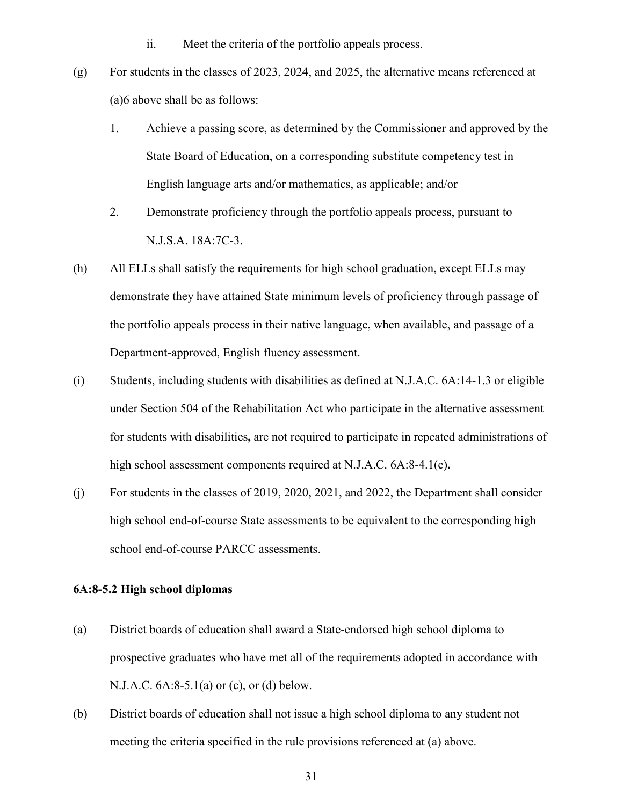- ii. Meet the criteria of the portfolio appeals process.
- (g) For students in the classes of 2023, 2024, and 2025, the alternative means referenced at (a)6 above shall be as follows:
	- 1. Achieve a passing score, as determined by the Commissioner and approved by the State Board of Education, on a corresponding substitute competency test in English language arts and/or mathematics, as applicable; and/or
	- 2. Demonstrate proficiency through the portfolio appeals process, pursuant to N.J.S.A. 18A:7C-3.
- (h) All ELLs shall satisfy the requirements for high school graduation, except ELLs may demonstrate they have attained State minimum levels of proficiency through passage of the portfolio appeals process in their native language, when available, and passage of a Department-approved, English fluency assessment.
- (i) Students, including students with disabilities as defined at N.J.A.C. 6A:14-1.3 or eligible under Section 504 of the Rehabilitation Act who participate in the alternative assessment for students with disabilities**,** are not required to participate in repeated administrations of high school assessment components required at N.J.A.C. 6A:8-4.1(c)**.**
- (j) For students in the classes of 2019, 2020, 2021, and 2022, the Department shall consider high school end-of-course State assessments to be equivalent to the corresponding high school end-of-course PARCC assessments.

## <span id="page-31-0"></span>**6A:8-5.2 High school diplomas**

- (a) District boards of education shall award a State-endorsed high school diploma to prospective graduates who have met all of the requirements adopted in accordance with N.J.A.C. 6A:8-5.1(a) or (c), or (d) below.
- (b) District boards of education shall not issue a high school diploma to any student not meeting the criteria specified in the rule provisions referenced at (a) above.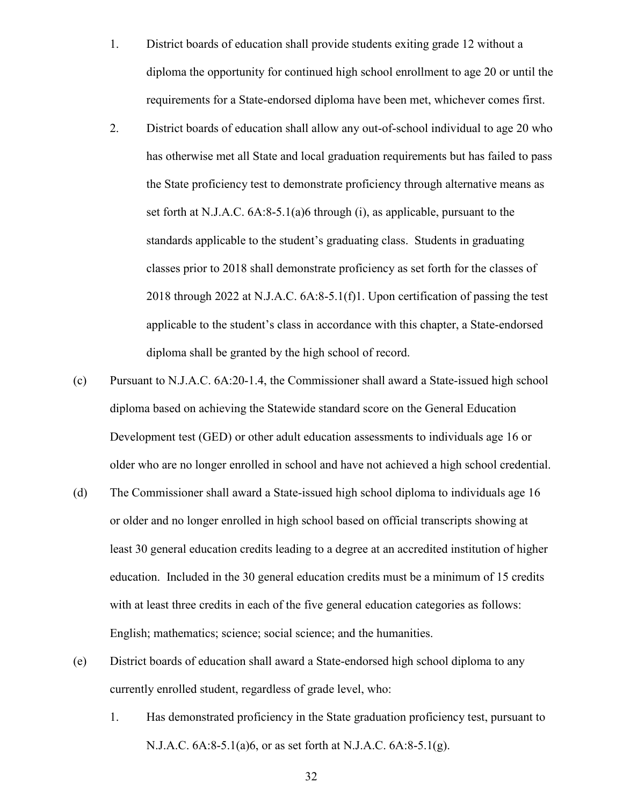- 1. District boards of education shall provide students exiting grade 12 without a diploma the opportunity for continued high school enrollment to age 20 or until the requirements for a State-endorsed diploma have been met, whichever comes first.
- 2. District boards of education shall allow any out-of-school individual to age 20 who has otherwise met all State and local graduation requirements but has failed to pass the State proficiency test to demonstrate proficiency through alternative means as set forth at N.J.A.C. 6A:8-5.1(a)6 through (i), as applicable, pursuant to the standards applicable to the student's graduating class. Students in graduating classes prior to 2018 shall demonstrate proficiency as set forth for the classes of 2018 through 2022 at N.J.A.C. 6A:8-5.1(f)1. Upon certification of passing the test applicable to the student's class in accordance with this chapter, a State-endorsed diploma shall be granted by the high school of record.
- (c) Pursuant to N.J.A.C. 6A:20-1.4, the Commissioner shall award a State-issued high school diploma based on achieving the Statewide standard score on the General Education Development test (GED) or other adult education assessments to individuals age 16 or older who are no longer enrolled in school and have not achieved a high school credential.
- (d) The Commissioner shall award a State-issued high school diploma to individuals age 16 or older and no longer enrolled in high school based on official transcripts showing at least 30 general education credits leading to a degree at an accredited institution of higher education. Included in the 30 general education credits must be a minimum of 15 credits with at least three credits in each of the five general education categories as follows: English; mathematics; science; social science; and the humanities.
- (e) District boards of education shall award a State-endorsed high school diploma to any currently enrolled student, regardless of grade level, who:
	- 1. Has demonstrated proficiency in the State graduation proficiency test, pursuant to N.J.A.C. 6A:8-5.1(a)6, or as set forth at N.J.A.C. 6A:8-5.1(g).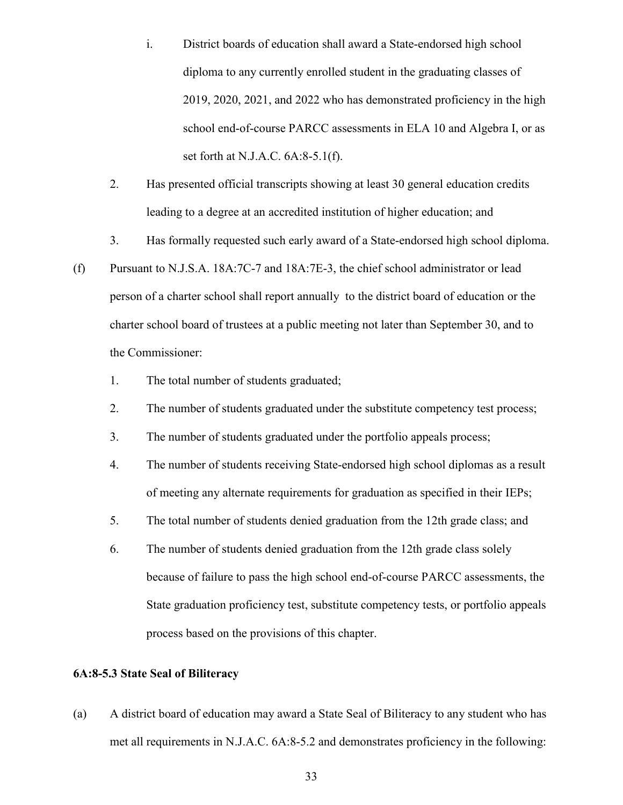- i. District boards of education shall award a State-endorsed high school diploma to any currently enrolled student in the graduating classes of 2019, 2020, 2021, and 2022 who has demonstrated proficiency in the high school end-of-course PARCC assessments in ELA 10 and Algebra I, or as set forth at N.J.A.C. 6A:8-5.1(f).
- 2. Has presented official transcripts showing at least 30 general education credits leading to a degree at an accredited institution of higher education; and
- 3. Has formally requested such early award of a State-endorsed high school diploma.
- (f) Pursuant to N.J.S.A. 18A:7C-7 and 18A:7E-3, the chief school administrator or lead person of a charter school shall report annually to the district board of education or the charter school board of trustees at a public meeting not later than September 30, and to the Commissioner:
	- 1. The total number of students graduated;
	- 2. The number of students graduated under the substitute competency test process;
	- 3. The number of students graduated under the portfolio appeals process;
	- 4. The number of students receiving State-endorsed high school diplomas as a result of meeting any alternate requirements for graduation as specified in their IEPs;
	- 5. The total number of students denied graduation from the 12th grade class; and
	- 6. The number of students denied graduation from the 12th grade class solely because of failure to pass the high school end-of-course PARCC assessments, the State graduation proficiency test, substitute competency tests, or portfolio appeals process based on the provisions of this chapter.

## <span id="page-33-0"></span>**6A:8-5.3 State Seal of Biliteracy**

(a) A district board of education may award a State Seal of Biliteracy to any student who has met all requirements in N.J.A.C. 6A:8-5.2 and demonstrates proficiency in the following: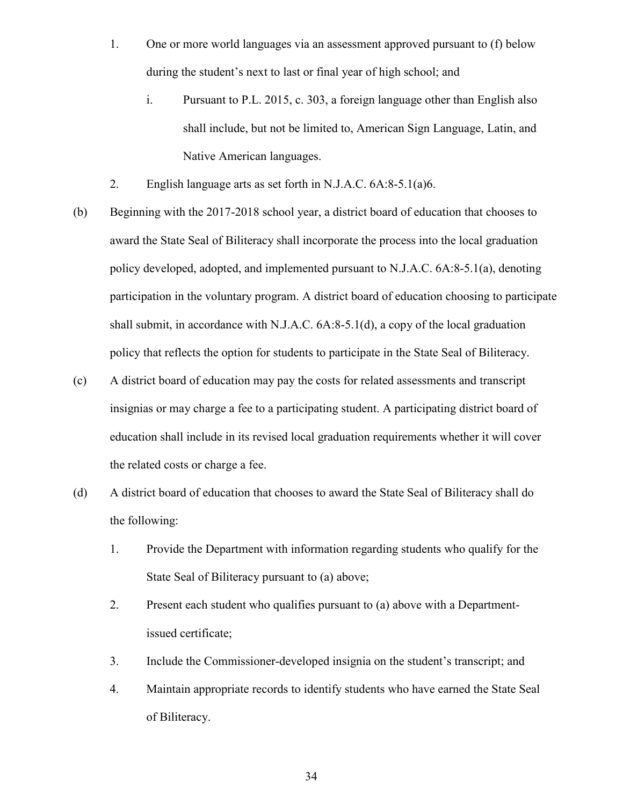- 1. One or more world languages via an assessment approved pursuant to (f) below during the student's next to last or final year of high school; and
	- i. Pursuant to P.L. 2015, c. 303, a foreign language other than English also shall include, but not be limited to, American Sign Language, Latin, and Native American languages.
- 2. English language arts as set forth in N.J.A.C. 6A:8-5.1(a)6.
- (b) Beginning with the 2017-2018 school year, a district board of education that chooses to award the State Seal of Biliteracy shall incorporate the process into the local graduation policy developed, adopted, and implemented pursuant to N.J.A.C. 6A:8-5.1(a), denoting participation in the voluntary program. A district board of education choosing to participate shall submit, in accordance with N.J.A.C. 6A:8-5.1(d), a copy of the local graduation policy that reflects the option for students to participate in the State Seal of Biliteracy.
- (c) A district board of education may pay the costs for related assessments and transcript insignias or may charge a fee to a participating student. A participating district board of education shall include in its revised local graduation requirements whether it will cover the related costs or charge a fee.
- (d) A district board of education that chooses to award the State Seal of Biliteracy shall do the following:
	- 1. Provide the Department with information regarding students who qualify for the State Seal of Biliteracy pursuant to (a) above;
	- 2. Present each student who qualifies pursuant to (a) above with a Departmentissued certificate;
	- 3. Include the Commissioner-developed insignia on the student's transcript; and
	- 4. Maintain appropriate records to identify students who have earned the State Seal of Biliteracy.